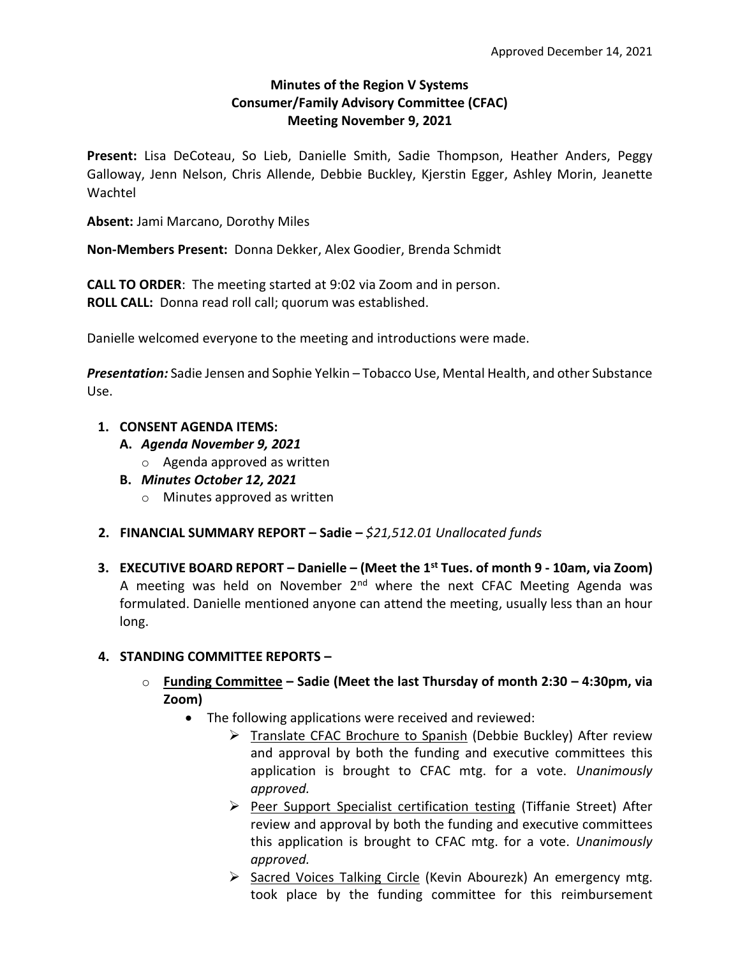## **Minutes of the Region V Systems Consumer/Family Advisory Committee (CFAC) Meeting November 9, 2021**

**Present:** Lisa DeCoteau, So Lieb, Danielle Smith, Sadie Thompson, Heather Anders, Peggy Galloway, Jenn Nelson, Chris Allende, Debbie Buckley, Kjerstin Egger, Ashley Morin, Jeanette Wachtel

**Absent:** Jami Marcano, Dorothy Miles

**Non-Members Present:** Donna Dekker, Alex Goodier, Brenda Schmidt

**CALL TO ORDER**: The meeting started at 9:02 via Zoom and in person. **ROLL CALL:** Donna read roll call; quorum was established.

Danielle welcomed everyone to the meeting and introductions were made.

*Presentation:* Sadie Jensen and Sophie Yelkin – Tobacco Use, Mental Health, and other Substance Use.

## **1. CONSENT AGENDA ITEMS:**

- **A.** *Agenda November 9, 2021*
	- o Agenda approved as written
- **B.** *Minutes October 12, 2021*
	- o Minutes approved as written
- **2. FINANCIAL SUMMARY REPORT – Sadie –** *\$21,512.01 Unallocated funds*
- **3. EXECUTIVE BOARD REPORT – Danielle – (Meet the 1st Tues. of month 9 - 10am, via Zoom)** A meeting was held on November 2nd where the next CFAC Meeting Agenda was formulated. Danielle mentioned anyone can attend the meeting, usually less than an hour long.

## **4. STANDING COMMITTEE REPORTS –**

- o **Funding Committee – Sadie (Meet the last Thursday of month 2:30 – 4:30pm, via Zoom)**
	- The following applications were received and reviewed:
		- ➢ Translate CFAC Brochure to Spanish (Debbie Buckley) After review and approval by both the funding and executive committees this application is brought to CFAC mtg. for a vote. *Unanimously approved.*
		- ➢ Peer Support Specialist certification testing (Tiffanie Street) After review and approval by both the funding and executive committees this application is brought to CFAC mtg. for a vote. *Unanimously approved.*
		- ➢ Sacred Voices Talking Circle (Kevin Abourezk) An emergency mtg. took place by the funding committee for this reimbursement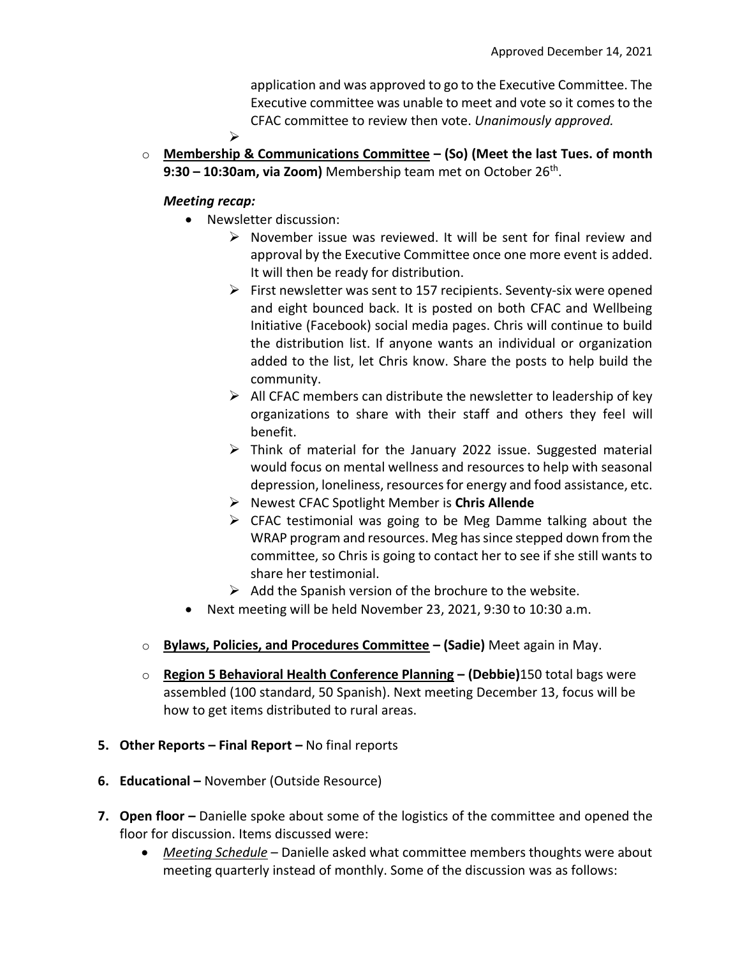application and was approved to go to the Executive Committee. The Executive committee was unable to meet and vote so it comes to the CFAC committee to review then vote. *Unanimously approved.*

o **Membership & Communications Committee – (So) (Meet the last Tues. of month 9:30 – 10:30am, via Zoom)** Membership team met on October 26th .

## *Meeting recap:*

➢

- Newsletter discussion:
	- $\triangleright$  November issue was reviewed. It will be sent for final review and approval by the Executive Committee once one more event is added. It will then be ready for distribution.
	- $\triangleright$  First newsletter was sent to 157 recipients. Seventy-six were opened and eight bounced back. It is posted on both CFAC and Wellbeing Initiative (Facebook) social media pages. Chris will continue to build the distribution list. If anyone wants an individual or organization added to the list, let Chris know. Share the posts to help build the community.
	- $\triangleright$  All CFAC members can distribute the newsletter to leadership of key organizations to share with their staff and others they feel will benefit.
	- ➢ Think of material for the January 2022 issue. Suggested material would focus on mental wellness and resources to help with seasonal depression, loneliness, resources for energy and food assistance, etc.
	- ➢ Newest CFAC Spotlight Member is **Chris Allende**
	- $\triangleright$  CFAC testimonial was going to be Meg Damme talking about the WRAP program and resources. Meg has since stepped down from the committee, so Chris is going to contact her to see if she still wants to share her testimonial.
	- $\triangleright$  Add the Spanish version of the brochure to the website.
- Next meeting will be held November 23, 2021, 9:30 to 10:30 a.m.
- o **Bylaws, Policies, and Procedures Committee – (Sadie)** Meet again in May.
- o **Region 5 Behavioral Health Conference Planning – (Debbie)**150 total bags were assembled (100 standard, 50 Spanish). Next meeting December 13, focus will be how to get items distributed to rural areas.
- **5. Other Reports – Final Report –** No final reports
- **6. Educational –** November (Outside Resource)
- **7. Open floor –** Danielle spoke about some of the logistics of the committee and opened the floor for discussion. Items discussed were:
	- *Meeting Schedule* Danielle asked what committee members thoughts were about meeting quarterly instead of monthly. Some of the discussion was as follows: